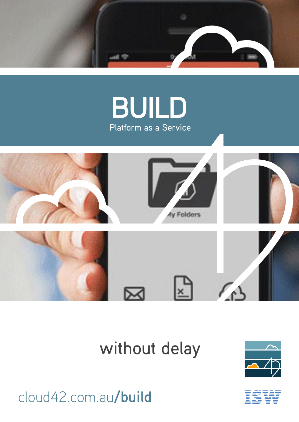





## without delay





cloud42.com.au**/build**